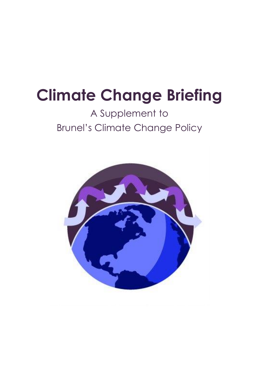# **Climate Change Briefing**

## A Supplement to Brunel's Climate Change Policy

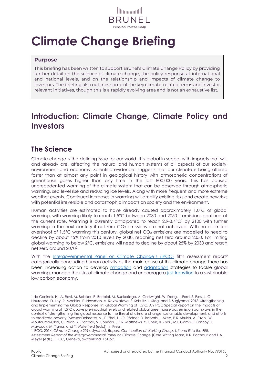

# **Climate Change Briefing**

#### **Purpose**

This briefing has been written to support Brunel's Climate Change Policy by providing further detail on the science of climate change, the policy response at international and national levels, and on the relationship and impacts of climate change to investors. The briefing also outlines some of the key climate-related terms and investor relevant initiatives, though this is a rapidly evolving area and is not an exhaustive list.

### **Introduction: Climate Change, Climate Policy and Investors**

#### **The Science**

Climate change is the defining issue for our world. It is global in scope, with impacts that will, and already are, affecting the natural and human systems of all aspects of our society, environment and economy. Scientific evidence<sup>1</sup> suggests that our climate is being altered faster than at almost any point in geological history with atmospheric concentrations of greenhouse gases higher than any time in the last 800,000 years. This has caused unprecedented warming of the climate system that can be observed through atmospheric warming, sea level rise and reducing ice levels. Along with more frequent and more extreme weather events. Continued increases in warming will amplify existing risks and create new risks with potential irreversible and catastrophic impacts on society and the environment.

Human activities are estimated to have already caused approximately 1.0°C of global warming, with warming likely to reach 1.5°C between 2030 and 2050 if emissions continue at the current rate. Warming is currently anticipated to reach 2.9-3.4°C<sup>1</sup> by 2100 with further warming in the next century if net-zero  $CO<sub>2</sub>$  emissions are not achieved. With no or limited overshoot of 1.5°C warming this century, global net CO<sup>2</sup> emissions are modelled to need to decline by about 45% from 2010 levels by 2030, reaching net zero around 2050. For limiting global warming to below 2°C, emissions will need to decline by about 25% by 2030 and reach net zero around 20702.

With the [Intergovernmental Panel on Climate Change's \(](#page-7-0)IPCC) fifth assessment report<sup>2</sup> categorically concluding human activity as the main cause of this climate change there has been increasing action to develop [mitigation](#page-5-0) and [adaptation](#page-4-0) strategies to tackle global warming, manage the risks of climate change and encourage a [just transition](#page-6-0) to a sustainable low carbon economy.

<sup>1</sup> de Coninck, H., A. Revi, M. Babiker, P. Bertoldi, M. Buckeridge, A. Cartwright, W. Dong, J. Ford, S. Fuss, J.-C. Hourcade, D. Ley, R. Mechler, P. Newman, A. Revokatova, S. Schultz, L. Steg, and T. Sugiyama, 2018: Strengthening and Implementing the Global Response. In: Global Warming of 1.5°C. An IPCC Special Report on the impacts of global warming of 1.5°C above pre-industrial levels and related global greenhouse gas emission pathways, in the context of strengthening the global response to the threat of climate change, sustainable development, and efforts to eradicate poverty [MassonDelmotte, V., P. Zhai, H.-O. Pörtner, D. Roberts, J. Skea, P.R. Shukla, A. Pirani, W. Moufouma-Okia, C. Péan, R. Pidcock, S. Connors, J.B.R. Matthews, Y. Chen, X. Zhou, M.I. Gomis, E. Lonnoy, T. Maycock, M. Tignor, and T. Waterfield (eds.)]. In Press.

<sup>2</sup> IPCC, 2014: *Climate Change 2014: Synthesis Report. Contribution of Working Groups I, II and III to the Fifth Assessment Report of the Intergovernmental Panel on Climate Change* [Core Writing Team, R.K. Pachauri and L.A. Meyer (eds.)]. IPCC, Geneva, Switzerland, 151 pp.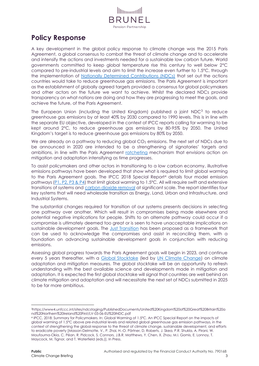

#### **Policy Response**

A key development in the global policy response to climate change was the 2015 Paris Agreement, a global consensus to combat the threat of climate change and to accelerate and intensify the actions and investments needed for a sustainable low carbon future. World governments committed to keep global temperature rise this century to well below 2°C compared to pre-industrial levels and aim to limit the increase even further to 1.5°C, through the implementation of [Nationally Determined Contributions \(NDCs\)](#page-6-1) that set out the actions countries would take to reduce greenhouse gas emissions. The Paris Agreement is important as the establishment of globally agreed targets provided a consensus for global policymakers and other actors on the future we want to achieve. Whilst the declared NDCs provide transparency on what nations are doing and how they are progressing to meet the goals, and achieve the future, of the Paris Agreement.

The European Union (including the United Kingdom) published a joint  $NDC<sup>3</sup>$  to reduce greenhouse gas emissions by at least 40% by 2030 compared to 1990 levels. This is in line with the separate EU objective, developed in the context of IPCC reports calling for warming to be kept around 2°C, to reduce greenhouse gas emissions by 80-95% by 2050. The United Kingdom's target is to reduce greenhouse gas emissions by 80% by 2050.

We are already on a pathway to reducing global  $CO<sub>2</sub>$  emissions. The next set of NDCs due to be announced in 2020 are intended to be a strengthening of signatories' targets and ambitions, in line with the Paris Agreement [ratcheting](#page-6-2) mechanism that envisions action on mitigation and adaptation intensifying as time progresses.

To assist policymakers and other actors in transitioning to a low carbon economy, illustrative emissions pathways have been developed that show what is required to limit global warming to the Paris Agreement goals. The IPCC 2018 Special Report<sup>4</sup> details four model emission pathways [\(P1, P2, P3 & P4\)](#page-5-1) that limit global warming to 1.5°C. All will require swift and extensive transitions of systems and [carbon dioxide removal](#page-4-1) at significant scale. The report identifies four key systems that will need wholesale transition as Energy, Land, Urban and Infrastructure, and Industrial Systems.

The substantial changes required for transition of our systems presents decisions in selecting one pathway over another. Which will result in compromises being made elsewhere and potential negative implications for people. Shifts to an alternate pathway could occur if a compromise is ultimately deemed too great or is seen to have unacceptable implications on sustainable development goals. The [Just Transition](#page-6-0) has been proposed as a framework that can be used to acknowledge the compromises and assist in reconciling them, with a foundation on advancing sustainable development goals in conjunction with reducing emissions.

Assessing global progress towards the Paris Agreement goals will begin in 2023, and continue every 5 years thereafter, with a [Global Stocktake](#page-5-2) (led by [UN Climate Change\)](#page-8-0) on climate adaptation and mitigation measures. The global stocktake will be an opportunity to refresh understanding with the best available science and developments made in mitigation and adaptation. It is expected the first global stocktake will signal that countries are well behind on climate mitigation and adaptation and will necessitate the next set of NDCs submitted in 2025 to be far more ambitious.

<sup>3</sup>https://www4.unfccc.int/sites/ndcstaging/PublishedDocuments/United%20Kingdom%20of%20Great%20Britain%20a nd%20Northern%20Ireland%20First/LV-03-06-EU%20INDC.pdf

<sup>4</sup> IPCC, 2018: Summary for Policymakers. In: Global Warming of 1.5°C. An IPCC Special Report on the impacts of global warming of 1.5°C above pre-industrial levels and related global greenhouse gas emission pathways, in the context of strengthening the global response to the threat of climate change, sustainable development, and efforts to eradicate poverty [Masson-Delmotte, V., P. Zhai, H.-O. Pörtner, D. Roberts, J. Skea, P.R. Shukla, A. Pirani, W. Moufouma-Okia, C. Péan, R. Pidcock, S. Connors, J.B.R. Matthews, Y. Chen, X. Zhou, M.I. Gomis, E. Lonnoy, T. Maycock, M. Tignor, and T. Waterfield (eds.)]. In Press.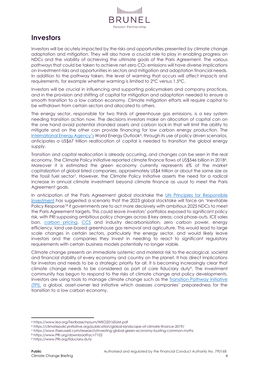

#### **Investors**

Investors will be acutely impacted by the risks and opportunities presented by climate change adaptation and mitigation. They will also have a crucial role to play in enabling progress on NDCs and the viability of achieving the ultimate goals of the Paris Agreement. The various pathways that could be taken to achieve net-zero CO<sub>2</sub> emissions will have diverse implications on investment risks and opportunities in sectors and mitigation and adaptation financial needs. In addition to the pathway taken, the level of warming that occurs will affect impacts and requirements, for example whether warming is limited to 2°C versus 1.5°C.

Investors will be crucial in influencing and supporting policymakers and company practices, and in the provision and shifting of capital for mitigation and adaptation needed to ensure a smooth transition to a low carbon economy. Climate mitigation efforts will require capital to be withdrawn from certain sectors and allocated to others.

The energy sector, responsible for two thirds of greenhouse gas emissions, is a key system needing transition action now. The decisions investors make on allocation of capital can on the one hand avoid potential stranded assets and carbon lock-in that will limit the ability to mitigate and on the other can provide financing for low carbon energy production. The [International Energy Agency](#page-5-3)'s World Energy Outlook<sup>5</sup>, through its use of policy driven scenarios, anticipates a US\$67 trillion reallocation of capital is needed to transition the global energy supply.

Transition and capital reallocation is already occurring, and changes can be seen in the real economy. The Climate Policy Initiative reported climate finance flows of US\$546 billion in 20186. Moreover it is estimated the green economy currently represents 6% of the market capitalization of global listed companies, approximately US\$4 trillion or about the same size as the fossil fuel sector7. However, the Climate Policy Initiative asserts the need for a radical increase in annual climate investment beyond climate finance as usual to meet the Paris Agreement goals.

In anticipation of the Paris Agreement global stocktake the UN [Principles for Responsible](#page-8-1)  [Investment](#page-8-1) has suggested a scenario that the 2023 global stocktake will force an 'Inevitable Policy Response'<sup>8</sup> if governments are to act more decisively with ambitious 2025 NDCs to meet the Paris Agreement targets. This could leave investors' portfolios exposed to significant policy risk, with PRI supposing ambitious policy changes across 8 key areas; coal phase-outs, ICE sales ban, [carbon pricing,](#page-4-2) [CCS](#page-4-3) and industry decarbonisation, zero carbon power, energy efficiency, land use-based greenhouse gas removal and agriculture. This would lead to large scale changes in certain sectors, particularly the energy sector, and would likely leave investors and the companies they invest in needing to react to significant regulatory requirements with certain business models potentially no longer viable.

Climate change presents an immediate systemic and material risk to the ecological, societal and financial stability of every economy and country on the planet. It has direct implications for investors and needs to be a strategic priority for all. It is becoming increasingly clear that climate change needs to be considered as part of core fiduciary duty<sup>9</sup>. The investment community has begun to respond to the risks of climate change and policy developments. Investors are using tools to manage climate change such as the [Transition Pathway Initiative](#page-7-1)  [\(TPI\),](#page-7-1) a global, asset-owner led initiative which assesses companies' preparedness for the transition to a low carbon economy.

- <sup>8</sup> https://www.PRI.org/download?ac=7102
- <sup>9</sup> https://www.PRI.org/fiduciary-duty

<sup>5</sup> https://www.iea.org/Textbase/npsum/WEO2016SUM.pdf

<sup>6</sup> https://climatepolicyinitiative.org/publication/global-landscape-of-climate-finance-2019/

<sup>7</sup> https://www.ftserussell.com/research/investing-global-green-economy-busting-common-myths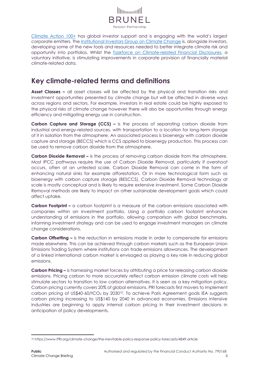

[Climate Action 100+](#page-7-2) has global investor support and is engaging with the world's largest corporate emitters. The Institutional Investors [Group on Climate Change](#page-7-3) is, alongside investors, developing some of the new tools and resources needed to better integrate climate risk and opportunity into portfolios. Whilst the [Taskforce on Climate-related Financial Disclosures,](#page-7-4) a voluntary initiative, is stimulating improvements in corporate provision of financially material climate-related data.

#### **Key climate-related terms and definitions**

**Asset Classes –** all asset classes will be affected by the physical and transition risks and investment opportunities presented by climate change but will be affected in diverse ways across regions and sectors. For example, investors in real estate could be highly exposed to the physical risks of climate change however there will also be opportunities through energy efficiency and mitigating energy use in construction.

<span id="page-4-3"></span>**Carbon Capture and Storage (CCS) –** is the process of separating carbon dioxide from industrial and energy-related sources, with transportation to a location for long-term storage of it in isolation from the atmosphere. An associated process is bioenergy with carbon dioxide capture and storage (BECCS) which is CCS applied to bioenergy production. This process can be used to remove carbon dioxide from the atmosphere.

<span id="page-4-1"></span>**Carbon Dioxide Removal –** is the process of removing carbon dioxide from the atmosphere. Most IPCC pathways require the use of Carbon Dioxide Removal, particularly if overshoot occurs, often at an untested scale. Carbon Dioxide Removal can come in the form of enhancing natural sinks for example afforestation. Or in more technological form such as bioenergy with carbon capture storage (BESCCS). Carbon Dioxide Removal technology at scale is mostly conceptual and is likely to require extensive investment. Some Carbon Dioxide Removal methods are likely to impact on other sustainable development goals which could affect uptake.

**Carbon Footprint –** a carbon footprint is a measure of the carbon emissions associated with companies within an investment portfolio. Using a portfolio carbon footprint enhances understanding of emissions in the portfolio, allowing comparison with global benchmarks, informing investment strategy and can be used to engage investment managers on climate change considerations.

**Carbon Offsetting –** is the reduction in emissions made in order to compensate for emissions made elsewhere. This can be achieved through carbon markets such as the European Union Emissions Trading System where institutions can trade emissions allowances. The development of a linked international carbon market is envisaged as playing a key role in reducing global emissions.

<span id="page-4-2"></span>**Carbon Pricing –** is harnessing market forces by attributing a price for releasing carbon dioxide emissions. Pricing carbon to more accurately reflect carbon emission climate costs will help stimulate sectors to transition to low carbon alternatives. It is seen as a key mitigation policy. Carbon pricing currently covers 20% of global emissions, PRI forecasts first movers to implement carbon pricing of US\$40-60/tCO<sub>2</sub> by 2030<sup>10</sup>. To achieve Paris Agreement goals IEA suggests carbon pricing increasing to US\$140 by 2040 in advanced economies. Emissions intensive industries are beginning to apply internal carbon pricing in their investment decisions in anticipation of policy developments.

<span id="page-4-0"></span><sup>10</sup> https://www.PRI.org/climate-change/the-inevitable-policy-response-policy-forecasts/4849.article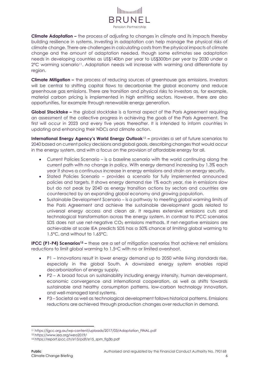

**Climate Adaptation –** the process of adjusting to changes in climate and its impacts thereby building resilience in systems. Investing in adaptation can help manage the physical risks of climate change. There are challenges in calculating costs from the physical impacts of climate change and the amount of adaptation needed, though some estimates see adaptation needs in developing countries as US\$140bn per year to US\$300bn per year by 2030 under a 2°C warming scenario11. Adaptation needs will increase with warming and differentiate by region.

<span id="page-5-0"></span>**Climate Mitigation –** the process of reducing sources of greenhouse gas emissions. Investors will be central to shifting capital flows to decarbonise the global economy and reduce greenhouse gas emissions. There are transition and physical risks to investors as, for example, material carbon pricing is implemented in high emitting sectors. However, there are also opportunities, for example through renewable energy generation.

<span id="page-5-2"></span>**Global Stocktake –** the global stocktake is a formal aspect of the Paris Agreement requiring an assessment of the collective progress in achieving the goals of the Paris Agreement. The first will occur in 2023 and every five years thereafter. It is intended to inform countries in updating and enhancing their NDCs and climate action.

<span id="page-5-3"></span>**International Energy Agency's World Energy Outlook**<sup>12</sup> **–** provides a set of future scenarios to 2040 based on current policy decisions and global goals, describing changes that would occur in the energy system, and with a focus on the provision of affordable energy for all.

- Current Policies Scenario is a baseline scenario with the world continuing along the current path with no change in policy. With energy demand increasing by 1.3% each year it shows a continuous increase in energy emissions and strain on energy security.
- Stated Policies Scenario provides a scenario for fully implemented announced policies and targets. It shows energy demand rise 1% each year, rise in emissions slow but do not peak by 2040 as energy transition actions by sectors and countries are counteracted by an expanding global economy and growing population.
- Sustainable Development Scenario is a pathway to meeting global warming limits of the Paris Agreement and achieve the sustainable development goals related to universal energy access and clean air. It requires extensive emissions cuts and technological transformation across the energy system. In contrast to IPCC scenarios SDS does not use net-negative  $CO<sub>2</sub>$  emissions methods. If net-negative emissions are achievable at scale IEA predicts SDS has a 50% chance of limiting global warming to 1.5°C, and without to 1.65°C.

<span id="page-5-1"></span>**IPCC (P1-P4) Scenarios<sup>13</sup> –** these are a set of mitigation scenarios that achieve net emissions reductions to limit global warming to 1.5°C with no or limited overshoot.

- P1 Innovations result in lower energy demand up to 2050 while living standards rise, especially in the global South. A downsized energy system enables rapid decarbonization of energy supply.
- P2 A broad focus on sustainability including energy intensity, human development, economic convergence and international cooperation, as well as shifts towards sustainable and healthy consumption patterns, low-carbon technology innovation, and well-managed land systems.
- P3 Societal as well as technological development follows historical patterns. Emissions reductions are achieved through production changes over reduction in demand.

<sup>11</sup> https://igcc.org.au/wp-content/uploads/2017/03/Adaptation\_FINAL.pdf

<sup>12</sup> https://www.iea.org/weo2019/

<sup>13</sup> https://report.ipcc.ch/sr15/pdf/sr15\_spm\_fig3b.pdf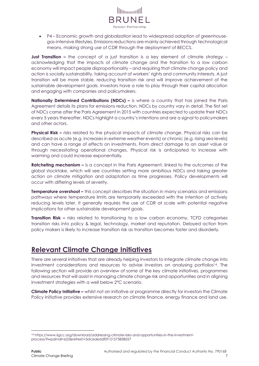

• P4 – Economic growth and globalization lead to widespread adoption of greenhousegas-intensive lifestyles. Emissions reductions are mainly achieved through technological means, making strong use of CDR through the deployment of BECCS.

<span id="page-6-0"></span>**Just Transition –** the concept of a just transition is a key element of climate strategy – acknowledging that the impacts of climate change and the transition to a low carbon economy will impact people disproportionality – and requiring that climate change policy and action is socially sustainability, taking account of workers' rights and community interests. A just transition will be more stable, reducing transition risk and will improve achievement of the sustainable development goals. Investors have a role to play through their capital allocation and engaging with companies and policymakers.

<span id="page-6-1"></span>**Nationally Determined Contributions (NDCs) –** is where a country that has joined the Paris Agreement details its plans for emissions reduction. NDCs by country vary in detail. The first set of NDCs came after the Paris Agreement in 2015 with countries expected to update their NDCs every 5 years thereafter. NDCs highlight a country's intentions and are a signal to policymakers and other actors.

**Physical Risk –** risks related to the physical impacts of climate change. Physical risks can be described as acute (e.g. increases in extreme weather events) or chronic (e.g. rising sea levels) and can have a range of effects on investments. From direct damage to an asset value or through necessitating operational changes. Physical risk is anticipated to increase with warming and could increase exponentially.

<span id="page-6-2"></span>**Ratcheting mechanism –** is a concept in the Paris Agreement, linked to the outcomes of the global stocktake, which will see countries setting more ambitious NDCs and taking greater action on climate mitigation and adaptation as time progresses. Policy developments will occur with differing levels of severity.

**Temperature overshoot –** this concept describes the situation in many scenarios and emissions pathways where temperature limits are temporarily exceeded with the intention of actively reducing levels later. It generally requires the use of CDR at scale with potential negative implications for other sustainable development goals.

**Transition Risk –** risks related to transitioning to a low carbon economy. TCFD categorises transition risks into policy & legal, technology, market and reputation. Delayed action from policy makers is likely to increase transition risk as transition becomes faster and disorderly.

### **Relevant Climate Change Initiatives**

There are several initiatives that are already helping investors to integrate climate change into investment considerations and resources to advise investors on analysing portfolios14. The following section will provide an overview of some of the key climate initiatives, programmes and resources that will assist in managing climate change risk and opportunities and in aligning investment strategies with a well below 2°C scenario.

**Climate Policy Initiative –** whilst not an initiative or programme directly for investors the Climate Policy Initiative provides extensive research on climate finance, energy finance and land use.

<sup>14</sup> https://www.iigcc.org/download/addressing-climate-risks-and-opportunities-in-the-investmentprocess/?wpdmdl=623&refresh=5dcededdf0f121573838557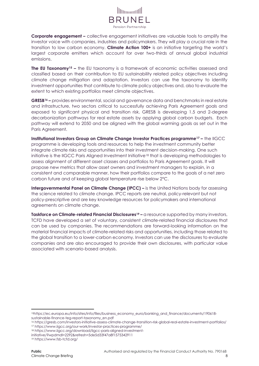<span id="page-7-2"></span>

**Corporate engagement –** collective engagement initiatives are valuable tools to amplify the investor voice with companies, industries and policymakers. They will play a crucial role in the transition to low carbon economy. **Climate Action 100+** is an initiative targeting the world's largest corporate emitters which account for over two-thirds of annual global industrial emissions.

**The EU Taxonomy<sup>15</sup> –** the EU taxonomy is a framework of economic activities assessed and classified based on their contribution to EU sustainability related policy objectives including climate change mitigation and adaptation. Investors can use the taxonomy to identify investment opportunities that contribute to climate policy objectives and, also to evaluate the extent to which existing portfolios meet climate objectives.

**GRESB<sup>16</sup> –** provides environmental, social and governance data and benchmarks in real estate and infrastructure, two sectors critical to successfully achieving Paris Agreement goals and exposed to significant physical and transition risk. GRESB is developing 1.5 and 2-degree decarbonization pathways for real estate assets by applying global carbon budgets. Each pathway will extend to 2050 and be aligned with the global warming goals as set out in the Paris Agreement.

<span id="page-7-3"></span>**Institutional Investors Group on Climate Change Investor Practices programme<sup>17</sup> –** the IIGCC programme is developing tools and resources to help the investment community better integrate climate risks and opportunities into their investment decision-making. One such initiative is the IIGCC Paris Aligned Investment Initiative<sup>18</sup> that is developing methodologies to assess alignment of different asset classes and portfolios to Paris Agreement goals. It will propose new metrics that allow asset owners and investment managers to explain, in a consistent and comparable manner, how their portfolios compare to the goals of a net zero carbon future and of keeping global temperature rise below 2°C.

<span id="page-7-0"></span>**Intergovernmental Panel on Climate Change (IPCC) –** is the United Nations body for assessing the science related to climate change. IPCC reports are neutral, policy-relevant but not policy-prescriptive and are key knowledge resources for policymakers and international agreements on climate change.

<span id="page-7-4"></span><span id="page-7-1"></span>**Taskforce on Climate-related Financial Disclosures<sup>19</sup> –** a resource supported by many investors, TCFD have developed a set of voluntary, consistent climate-related financial disclosures that can be used by companies. The recommendations are forward-looking information on the material financial impacts of climate-related risks and opportunities, including those related to the global transition to a lower-carbon economy. Investors can use the disclosures to evaluate companies and are also encouraged to provide their own disclosures, with particular value associated with scenario-based analysis.

<sup>15</sup>https://ec.europa.eu/info/sites/info/files/business\_economy\_euro/banking\_and\_finance/documents/190618 sustainable-finance-teg-report-taxonomy\_en.pdf

<sup>16</sup> https://gresb.com/investors-initiative-assess-climate-change-transition-risk-global-real-estate-investment-portfolios/ <sup>17</sup> https://www.iigcc.org/our-work/investor-practices-programme/

<sup>18</sup> https://www.iigcc.org/download/iigcc-paris-aligned-investment-

initiative/?wpdmdl=2292&refresh=5de5d33f47a8f1575342911

<sup>19</sup> https://www.fsb-tcfd.org/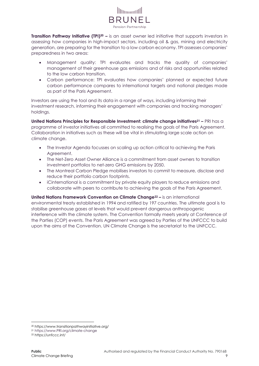

**Transition Pathway Initiative (TPI)<sup>20</sup> –** is an asset owner led initiative that supports investors in assessing how companies in high-impact sectors, including oil & gas, mining and electricity generation, are preparing for the transition to a low carbon economy. TPI assesses companies' preparedness in two areas:

- Management quality: TPI evaluates and tracks the quality of companies' management of their greenhouse gas emissions and of risks and opportunities related to the low carbon transition.
- Carbon performance: TPI evaluates how companies' planned or expected future carbon performance compares to international targets and national pledges made as part of the Paris Agreement.

<span id="page-8-1"></span>Investors are using the tool and its data in a range of ways, including informing their investment research, informing their engagement with companies and tracking managers' holdings.

**United Nations Principles for Responsible Investment: climate change initiatives<sup>21</sup> –** PRI has a programme of investor initiatives all committed to realising the goals of the Paris Agreement. Collaboration in initiatives such as these will be vital in stimulating large scale action on climate change.

- The Investor Agenda focusses on scaling up action critical to achieving the Paris Agreement.
- The Net-Zero Asset Owner Alliance is a commitment from asset owners to transition investment portfolios to net-zero GHG emissions by 2050.
- The Montreal Carbon Pledge mobilises investors to commit to measure, disclose and reduce their portfolio carbon footprints.
- iCinternational is a commitment by private equity players to reduce emissions and collaborate with peers to contribute to achieving the goals of the Paris Agreement.

<span id="page-8-0"></span>**United Nations Framework Convention on Climate Change<sup>22</sup> –** is an international environmental treaty established in 1994 and ratified by 197 countries. The ultimate goal is to stabilise greenhouse gases at levels that would prevent dangerous anthropogenic interference with the climate system. The Convention formally meets yearly at Conference of the Parties (COP) events. The Paris Agreement was agreed by Parties of the UNFCCC to build upon the aims of the Convention. UN Climate Change is the secretariat to the UNFCCC.

<sup>20</sup> https://www.transitionpathwayinitiative.org/

<sup>21</sup> https://www.PRI.org/climate-change

<sup>22</sup> https://unfccc.int/